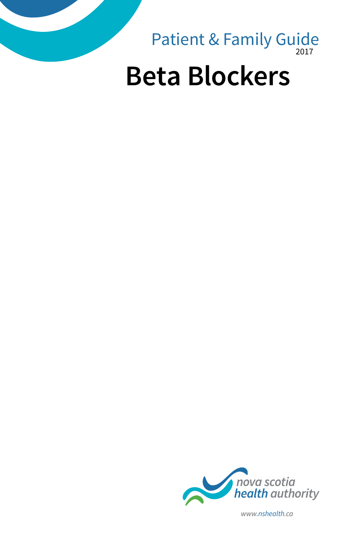

nova scotia<br>health authority

*www.nshealth.ca*

2017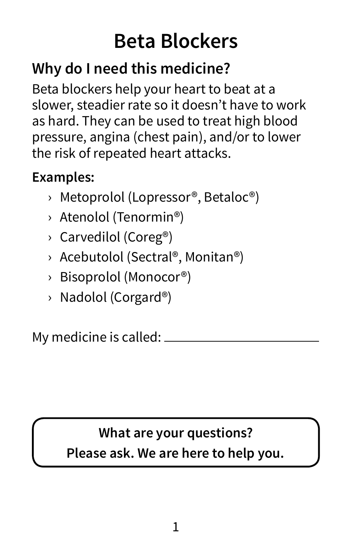# **Beta Blockers**

# **Why do I need this medicine?**

Beta blockers help your heart to beat at a slower, steadier rate so it doesn't have to work as hard. They can be used to treat high blood pressure, angina (chest pain), and/or to lower the risk of repeated heart attacks.

## **Examples:**

- › Metoprolol (Lopressor®, Betaloc®)
- › Atenolol (Tenormin®)
- › Carvedilol (Coreg®)
- › Acebutolol (Sectral®, Monitan®)
- › Bisoprolol (Monocor®)
- › Nadolol (Corgard®)

My medicine is called:

## **What are your questions? Please ask. We are here to help you.**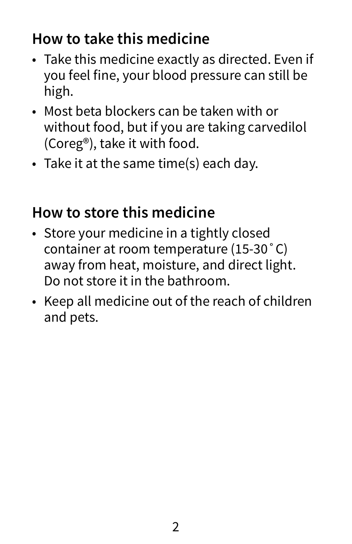# **How to take this medicine**

- Take this medicine exactly as directed. Even if you feel fine, your blood pressure can still be high.
- Most beta blockers can be taken with or without food, but if you are taking carvedilol (Coreg®), take it with food.
- Take it at the same time(s) each day.

# **How to store this medicine**

- Store your medicine in a tightly closed container at room temperature (15-30˚C) away from heat, moisture, and direct light. Do not store it in the bathroom.
- Keep all medicine out of the reach of children and pets.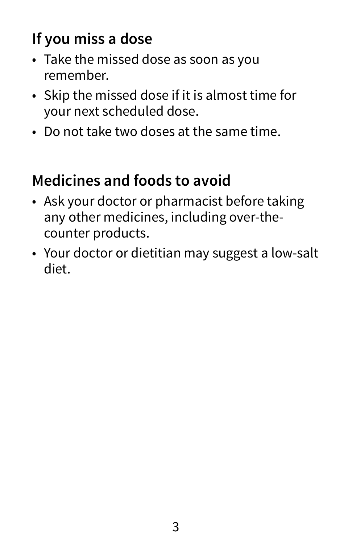# **If you miss a dose**

- Take the missed dose as soon as you remember.
- Skip the missed dose if it is almost time for your next scheduled dose.
- Do not take two doses at the same time.

# **Medicines and foods to avoid**

- Ask your doctor or pharmacist before taking any other medicines, including over-thecounter products.
- Your doctor or dietitian may suggest a low-salt diet.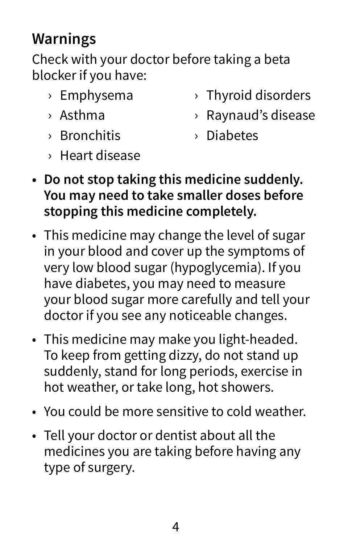# **Warnings**

Check with your doctor before taking a beta blocker if you have:

- › Emphysema
- › Asthma
- › Bronchitis
- › Thyroid disorders
- › Raynaud's disease
- › Diabetes
- › Heart disease
- **• Do not stop taking this medicine suddenly. You may need to take smaller doses before stopping this medicine completely.**
- This medicine may change the level of sugar in your blood and cover up the symptoms of very low blood sugar (hypoglycemia). If you have diabetes, you may need to measure your blood sugar more carefully and tell your doctor if you see any noticeable changes.
- This medicine may make you light-headed. To keep from getting dizzy, do not stand up suddenly, stand for long periods, exercise in hot weather, or take long, hot showers.
- You could be more sensitive to cold weather.
- Tell your doctor or dentist about all the medicines you are taking before having any type of surgery.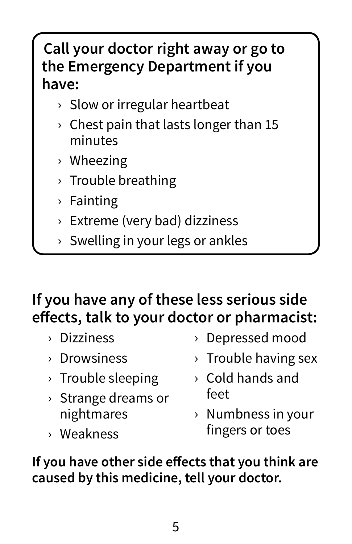# **Call your doctor right away or go to the Emergency Department if you have:**

- › Slow or irregular heartbeat
- $\rightarrow$  Chest pain that lasts longer than 15 minutes
- › Wheezing
- › Trouble breathing
- › Fainting
- › Extreme (very bad) dizziness
- › Swelling in your legs or ankles

# **If you have any of these less serious side effects, talk to your doctor or pharmacist:**

- › Dizziness
- › Drowsiness
- › Trouble sleeping
- › Strange dreams or nightmares
- › Weakness
- › Depressed mood
- › Trouble having sex
- › Cold hands and feet
- › Numbness in your fingers or toes

**If you have other side effects that you think are caused by this medicine, tell your doctor.**